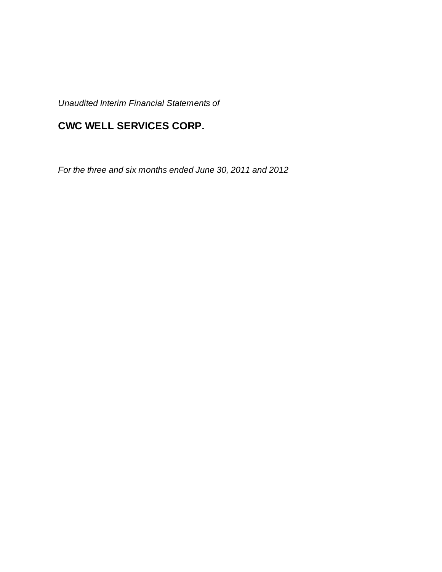*Unaudited Interim Financial Statements of*

# **CWC WELL SERVICES CORP.**

*For the three and six months ended June 30, 2011 and 2012*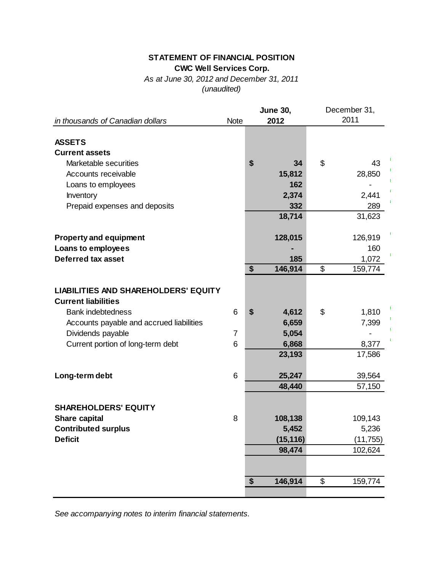## **STATEMENT OF FINANCIAL POSITION CWC Well Services Corp.**

*As at June 30, 2012 and December 31, 2011 (unaudited)*

| in thousands of Canadian dollars            | <b>Note</b> | <b>June 30,</b><br>2012 | December 31,<br>2011 |
|---------------------------------------------|-------------|-------------------------|----------------------|
|                                             |             |                         |                      |
| <b>ASSETS</b>                               |             |                         |                      |
| <b>Current assets</b>                       |             |                         |                      |
| Marketable securities                       |             | \$<br>34                | \$<br>43             |
| Accounts receivable                         |             | 15,812                  | 28,850               |
| Loans to employees                          |             | 162                     |                      |
| Inventory                                   |             | 2,374                   | 2,441                |
| Prepaid expenses and deposits               |             | 332                     | 289                  |
|                                             |             | 18,714                  | 31,623               |
| <b>Property and equipment</b>               |             | 128,015                 | 126,919              |
| Loans to employees                          |             |                         | 160                  |
| <b>Deferred tax asset</b>                   |             | 185                     | 1,072                |
|                                             |             | \$<br>146,914           | \$<br>159,774        |
|                                             |             |                         |                      |
| <b>LIABILITIES AND SHAREHOLDERS' EQUITY</b> |             |                         |                      |
| <b>Current liabilities</b>                  |             |                         |                      |
| <b>Bank indebtedness</b>                    | 6           | \$<br>4,612             | \$<br>1,810          |
| Accounts payable and accrued liabilities    |             | 6,659                   | 7,399                |
| Dividends payable                           | 7           | 5,054                   |                      |
| Current portion of long-term debt           | 6           | 6,868                   | 8,377                |
|                                             |             | 23,193                  | 17,586               |
| Long-term debt                              | 6           | 25,247                  | 39,564               |
|                                             |             | 48,440                  | 57,150               |
|                                             |             |                         |                      |
| <b>SHAREHOLDERS' EQUITY</b>                 |             |                         |                      |
| <b>Share capital</b>                        | 8           | 108,138                 | 109,143              |
| <b>Contributed surplus</b>                  |             | 5,452                   | 5,236                |
| <b>Deficit</b>                              |             | (15, 116)               | (11, 755)            |
|                                             |             | 98,474                  | 102,624              |
|                                             |             |                         |                      |
|                                             |             | \$<br>146,914           | \$<br>159,774        |
|                                             |             |                         |                      |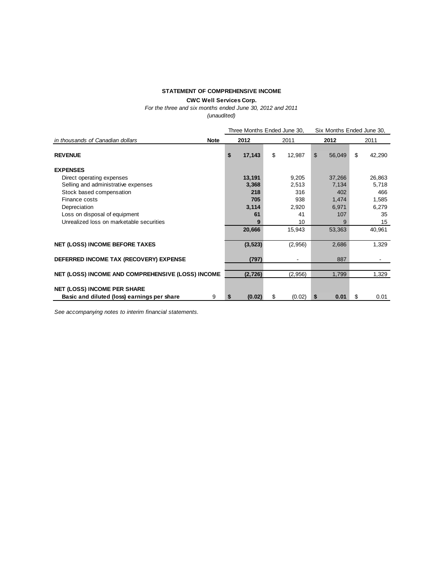#### **STATEMENT OF COMPREHENSIVE INCOME**

**CWC Well Services Corp.**

*For the three and six months ended June 30, 2012 and 2011*

*(unaudited)*

|                                                   | Three Months Ended June 30, |   |      |         |      |        | Six Months Ended June 30, |        |  |
|---------------------------------------------------|-----------------------------|---|------|---------|------|--------|---------------------------|--------|--|
| in thousands of Canadian dollars<br><b>Note</b>   | 2012                        |   | 2011 |         | 2012 |        |                           | 2011   |  |
| <b>REVENUE</b>                                    | \$<br>17,143                |   | \$   | 12,987  | \$   | 56,049 | \$                        | 42,290 |  |
| <b>EXPENSES</b>                                   |                             |   |      |         |      |        |                           |        |  |
| Direct operating expenses                         | 13,191                      |   |      | 9,205   |      | 37,266 |                           | 26,863 |  |
| Selling and administrative expenses               | 3,368                       |   |      | 2,513   |      | 7,134  |                           | 5,718  |  |
| Stock based compensation                          | 218                         |   |      | 316     |      | 402    |                           | 466    |  |
| Finance costs                                     | 705                         |   |      | 938     |      | 1,474  |                           | 1,585  |  |
| Depreciation                                      | 3,114                       |   |      | 2,920   |      | 6,971  |                           | 6,279  |  |
| Loss on disposal of equipment                     | 61                          |   |      | 41      |      | 107    |                           | 35     |  |
| Unrealized loss on marketable securities          |                             | 9 |      | 10      |      | 9      |                           | 15     |  |
|                                                   | 20,666                      |   |      | 15,943  |      | 53,363 |                           | 40,961 |  |
| <b>NET (LOSS) INCOME BEFORE TAXES</b>             | (3, 523)                    |   |      | (2,956) |      | 2,686  |                           | 1,329  |  |
| DEFERRED INCOME TAX (RECOVERY) EXPENSE            | (797)                       |   |      |         |      | 887    |                           |        |  |
| NET (LOSS) INCOME AND COMPREHENSIVE (LOSS) INCOME | (2, 726)                    |   |      | (2,956) |      | 1,799  |                           | 1,329  |  |
| <b>NET (LOSS) INCOME PER SHARE</b>                |                             |   |      |         |      |        |                           |        |  |
| Basic and diluted (loss) earnings per share<br>9  | (0.02)<br>\$                |   | S    | (0.02)  | \$   | 0.01   | S                         | 0.01   |  |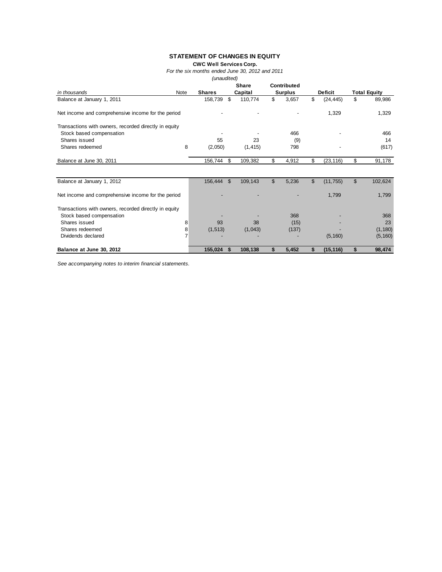#### **STATEMENT OF CHANGES IN EQUITY**

**CWC Well Services Corp.**

*For the six months ended June 30, 2012 and 2011*

*(unaudited)*

|                                                       |      |               |                | <b>Share</b> |              | Contributed    |                |                |                     |
|-------------------------------------------------------|------|---------------|----------------|--------------|--------------|----------------|----------------|----------------|---------------------|
| in thousands                                          | Note | <b>Shares</b> |                | Capital      |              | <b>Surplus</b> |                | <b>Deficit</b> | <b>Total Equity</b> |
| Balance at January 1, 2011                            |      | 158,739       | \$             | 110,774      | \$           | 3,657          | \$             | (24, 445)      | \$<br>89,986        |
| Net income and comprehensive income for the period    |      |               |                |              |              |                |                | 1,329          | 1,329               |
| Transactions with owners, recorded directly in equity |      |               |                |              |              |                |                |                |                     |
| Stock based compensation                              |      |               |                |              |              | 466            |                |                | 466                 |
| Shares issued                                         |      | 55            |                | 23           |              | (9)            |                |                | 14                  |
| Shares redeemed                                       | 8    | (2,050)       |                | (1, 415)     |              | 798            |                |                | (617)               |
| Balance at June 30, 2011                              |      | 156,744       | \$             | 109,382      | \$           | 4,912          | \$             | (23, 116)      | \$<br>91,178        |
|                                                       |      |               |                |              |              |                |                |                |                     |
| Balance at January 1, 2012                            |      | 156,444       | $\mathfrak{S}$ | 109,143      | $\mathbb{S}$ | 5,236          | $\mathfrak{L}$ | (11, 755)      | \$<br>102,624       |
| Net income and comprehensive income for the period    |      |               |                |              |              |                |                | 1,799          | 1,799               |
| Transactions with owners, recorded directly in equity |      |               |                |              |              |                |                |                |                     |
| Stock based compensation                              |      |               |                |              |              | 368            |                |                | 368                 |
| Shares issued                                         | 8    | 93            |                | 38           |              | (15)           |                |                | 23                  |
| Shares redeemed                                       | 8    | (1, 513)      |                | (1,043)      |              | (137)          |                |                | (1, 180)            |
| Dividends declared                                    | 7    |               |                |              |              |                |                | (5, 160)       | (5, 160)            |
| Balance at June 30, 2012                              |      | 155,024       | S.             | 108,138      | \$           | 5,452          | \$             | (15, 116)      | \$<br>98,474        |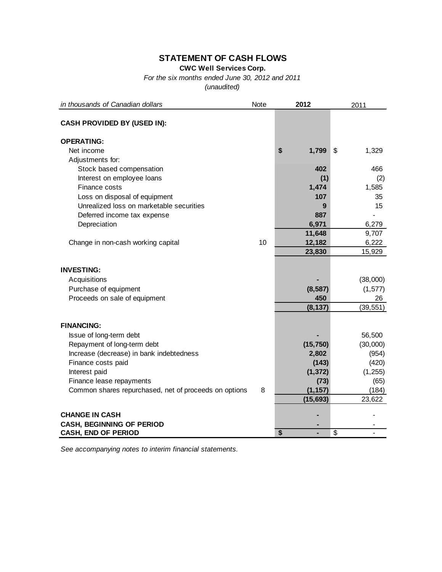## **STATEMENT OF CASH FLOWS**

**CWC Well Services Corp.**

*For the six months ended June 30, 2012 and 2011*

*(unaudited)*

| in thousands of Canadian dollars                      | Note | 2012        | 2011                    |
|-------------------------------------------------------|------|-------------|-------------------------|
| <b>CASH PROVIDED BY (USED IN):</b>                    |      |             |                         |
| <b>OPERATING:</b>                                     |      |             |                         |
| Net income                                            |      | \$<br>1,799 | \$<br>1,329             |
| Adjustments for:                                      |      |             |                         |
| Stock based compensation                              |      | 402         | 466                     |
| Interest on employee loans                            |      | (1)         | (2)                     |
| Finance costs                                         |      | 1,474       | 1,585                   |
| Loss on disposal of equipment                         |      | 107         | 35                      |
| Unrealized loss on marketable securities              |      | 9           | 15                      |
| Deferred income tax expense                           |      | 887         |                         |
| Depreciation                                          |      | 6,971       | 6,279                   |
|                                                       |      | 11,648      | 9,707                   |
| Change in non-cash working capital                    | 10   | 12,182      | 6,222                   |
|                                                       |      | 23,830      | 15,929                  |
|                                                       |      |             |                         |
| <b>INVESTING:</b>                                     |      |             |                         |
| Acquisitions                                          |      |             | (38,000)                |
| Purchase of equipment                                 |      | (8, 587)    | (1, 577)                |
| Proceeds on sale of equipment                         |      | 450         | 26                      |
|                                                       |      | (8, 137)    | (39, 551)               |
|                                                       |      |             |                         |
| <b>FINANCING:</b>                                     |      |             |                         |
| Issue of long-term debt                               |      |             | 56,500                  |
| Repayment of long-term debt                           |      | (15, 750)   | (30,000)                |
| Increase (decrease) in bank indebtedness              |      | 2,802       | (954)                   |
| Finance costs paid                                    |      | (143)       | (420)                   |
| Interest paid                                         |      | (1, 372)    | (1, 255)                |
| Finance lease repayments                              |      | (73)        | (65)                    |
| Common shares repurchased, net of proceeds on options | 8    | (1, 157)    | (184)                   |
|                                                       |      | (15, 693)   | 23,622                  |
|                                                       |      |             |                         |
| <b>CHANGE IN CASH</b>                                 |      |             |                         |
| <b>CASH, BEGINNING OF PERIOD</b>                      |      | \$<br>÷,    | $\overline{\mathbb{S}}$ |
| <b>CASH, END OF PERIOD</b>                            |      |             |                         |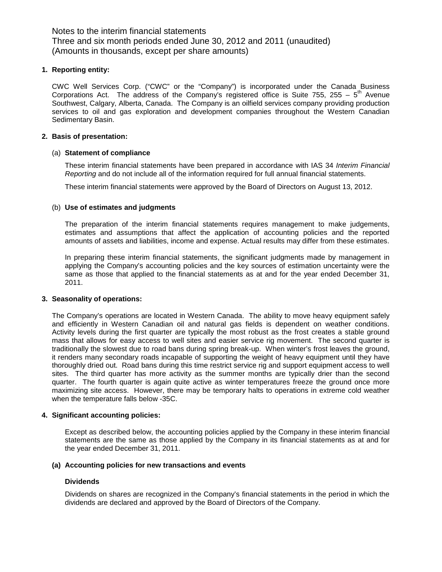Notes to the interim financial statements Three and six month periods ended June 30, 2012 and 2011 (unaudited) (Amounts in thousands, except per share amounts)

#### **1. Reporting entity:**

CWC Well Services Corp. ("CWC" or the "Company") is incorporated under the Canada Business Corporations Act. The address of the Company's registered office is Suite 755, 255 –  $5<sup>th</sup>$  Avenue Southwest, Calgary, Alberta, Canada. The Company is an oilfield services company providing production services to oil and gas exploration and development companies throughout the Western Canadian Sedimentary Basin.

#### **2. Basis of presentation:**

#### (a) **Statement of compliance**

These interim financial statements have been prepared in accordance with IAS 34 *Interim Financial Reporting* and do not include all of the information required for full annual financial statements.

These interim financial statements were approved by the Board of Directors on August 13, 2012.

#### (b) **Use of estimates and judgments**

The preparation of the interim financial statements requires management to make judgements, estimates and assumptions that affect the application of accounting policies and the reported amounts of assets and liabilities, income and expense. Actual results may differ from these estimates.

In preparing these interim financial statements, the significant judgments made by management in applying the Company's accounting policies and the key sources of estimation uncertainty were the same as those that applied to the financial statements as at and for the year ended December 31, 2011.

#### **3. Seasonality of operations:**

The Company's operations are located in Western Canada. The ability to move heavy equipment safely and efficiently in Western Canadian oil and natural gas fields is dependent on weather conditions. Activity levels during the first quarter are typically the most robust as the frost creates a stable ground mass that allows for easy access to well sites and easier service rig movement. The second quarter is traditionally the slowest due to road bans during spring break-up. When winter's frost leaves the ground, it renders many secondary roads incapable of supporting the weight of heavy equipment until they have thoroughly dried out. Road bans during this time restrict service rig and support equipment access to well sites. The third quarter has more activity as the summer months are typically drier than the second quarter. The fourth quarter is again quite active as winter temperatures freeze the ground once more maximizing site access. However, there may be temporary halts to operations in extreme cold weather when the temperature falls below -35C.

#### **4. Significant accounting policies:**

Except as described below, the accounting policies applied by the Company in these interim financial statements are the same as those applied by the Company in its financial statements as at and for the year ended December 31, 2011.

#### **(a) Accounting policies for new transactions and events**

#### **Dividends**

Dividends on shares are recognized in the Company's financial statements in the period in which the dividends are declared and approved by the Board of Directors of the Company.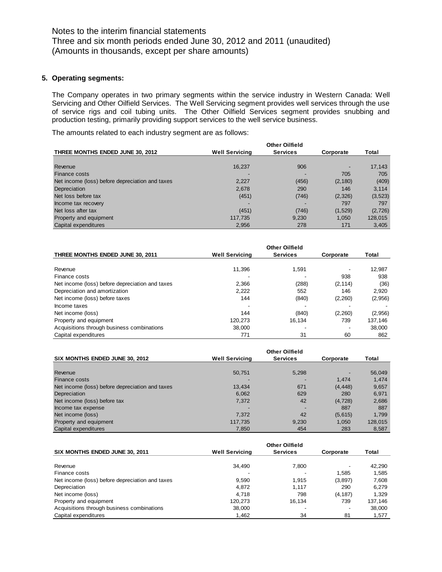#### **5. Operating segments:**

The Company operates in two primary segments within the service industry in Western Canada: Well Servicing and Other Oilfield Services. The Well Servicing segment provides well services through the use of service rigs and coil tubing units. The Other Oilfield Services segment provides snubbing and production testing, primarily providing support services to the well service business.

The amounts related to each industry segment are as follows:

|                                                 | <b>Other Oilfield</b> |                 |           |          |  |  |  |  |
|-------------------------------------------------|-----------------------|-----------------|-----------|----------|--|--|--|--|
| THREE MONTHS ENDED JUNE 30, 2012                | <b>Well Servicing</b> | <b>Services</b> | Corporate | Total    |  |  |  |  |
|                                                 |                       |                 |           |          |  |  |  |  |
| Revenue                                         | 16,237                | 906             | -         | 17,143   |  |  |  |  |
| Finance costs                                   |                       |                 | 705       | 705      |  |  |  |  |
| Net income (loss) before depreciation and taxes | 2,227                 | (456)           | (2, 180)  | (409)    |  |  |  |  |
| Depreciation                                    | 2,678                 | 290             | 146       | 3.114    |  |  |  |  |
| Net loss before tax                             | (451)                 | (746)           | (2,326)   | (3, 523) |  |  |  |  |
| Income tax recovery                             |                       |                 | 797       | 797      |  |  |  |  |
| Net loss after tax                              | (451)                 | (746)           | (1,529)   | (2,726)  |  |  |  |  |
| Property and equipment                          | 117,735               | 9,230           | 1.050     | 128,015  |  |  |  |  |
| Capital expenditures                            | 2,956                 | 278             | 171       | 3,405    |  |  |  |  |

| THREE MONTHS ENDED JUNE 30, 2011                | <b>Well Servicing</b> | <b>Services</b> | Corporate | Total   |
|-------------------------------------------------|-----------------------|-----------------|-----------|---------|
| Revenue                                         | 11,396                | 1,591           |           | 12,987  |
| Finance costs                                   |                       |                 | 938       | 938     |
| Net income (loss) before depreciation and taxes | 2,366                 | (288)           | (2, 114)  | (36)    |
| Depreciation and amortization                   | 2,222                 | 552             | 146       | 2.920   |
| Net income (loss) before taxes                  | 144                   | (840)           | (2,260)   | (2,956) |
| Income taxes                                    |                       |                 |           |         |
| Net income (loss)                               | 144                   | (840)           | (2,260)   | (2,956) |
| Property and equipment                          | 120.273               | 16.134          | 739       | 137.146 |
| Acquisitions through business combinations      | 38,000                |                 |           | 38,000  |
| Capital expenditures                            | 771                   | 31              | 60        | 862     |

| SIX MONTHS ENDED JUNE 30, 2012                  | <b>Well Servicing</b> | <b>Services</b> | Corporate | Total   |
|-------------------------------------------------|-----------------------|-----------------|-----------|---------|
|                                                 |                       |                 |           |         |
| Revenue                                         | 50,751                | 5,298           |           | 56,049  |
| <b>Finance costs</b>                            |                       |                 | 1.474     | 1,474   |
| Net income (loss) before depreciation and taxes | 13,434                | 671             | (4, 448)  | 9,657   |
| Depreciation                                    | 6,062                 | 629             | 280       | 6,971   |
| Net income (loss) before tax                    | 7,372                 | 42              | (4, 728)  | 2,686   |
| Income tax expense                              |                       | -               | 887       | 887     |
| Net income (loss)                               | 7.372                 | 42              | (5,615)   | 1.799   |
| Property and equipment                          | 117.735               | 9,230           | 1.050     | 128,015 |
| Capital expenditures                            | 7.850                 | 454             | 283       | 8,587   |

| SIX MONTHS ENDED JUNE 30, 2011                  | <b>Well Servicing</b> | Corporate | Total    |         |
|-------------------------------------------------|-----------------------|-----------|----------|---------|
|                                                 |                       |           |          |         |
| Revenue                                         | 34.490                | 7.800     |          | 42.290  |
| Finance costs                                   |                       |           | 1.585    | 1.585   |
| Net income (loss) before depreciation and taxes | 9,590                 | 1.915     | (3,897)  | 7,608   |
| Depreciation                                    | 4.872                 | 1.117     | 290      | 6.279   |
| Net income (loss)                               | 4.718                 | 798       | (4, 187) | 1.329   |
| Property and equipment                          | 120,273               | 16.134    | 739      | 137,146 |
| Acquisitions through business combinations      | 38,000                |           |          | 38,000  |
| Capital expenditures                            | 1,462                 | 34        | 81       | 1,577   |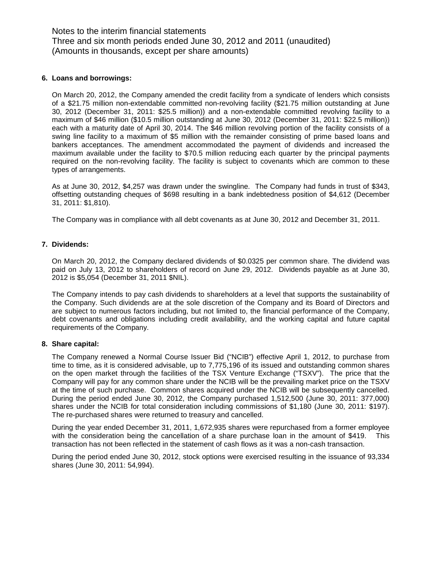Notes to the interim financial statements Three and six month periods ended June 30, 2012 and 2011 (unaudited) (Amounts in thousands, except per share amounts)

#### **6. Loans and borrowings:**

On March 20, 2012, the Company amended the credit facility from a syndicate of lenders which consists of a \$21.75 million non-extendable committed non-revolving facility (\$21.75 million outstanding at June 30, 2012 (December 31, 2011: \$25.5 million)) and a non-extendable committed revolving facility to a maximum of \$46 million (\$10.5 million outstanding at June 30, 2012 (December 31, 2011: \$22.5 million)) each with a maturity date of April 30, 2014. The \$46 million revolving portion of the facility consists of a swing line facility to a maximum of \$5 million with the remainder consisting of prime based loans and bankers acceptances. The amendment accommodated the payment of dividends and increased the maximum available under the facility to \$70.5 million reducing each quarter by the principal payments required on the non-revolving facility. The facility is subject to covenants which are common to these types of arrangements.

As at June 30, 2012, \$4,257 was drawn under the swingline. The Company had funds in trust of \$343, offsetting outstanding cheques of \$698 resulting in a bank indebtedness position of \$4,612 (December 31, 2011: \$1,810).

The Company was in compliance with all debt covenants as at June 30, 2012 and December 31, 2011.

#### **7. Dividends:**

On March 20, 2012, the Company declared dividends of \$0.0325 per common share. The dividend was paid on July 13, 2012 to shareholders of record on June 29, 2012. Dividends payable as at June 30, 2012 is \$5,054 (December 31, 2011 \$NIL).

The Company intends to pay cash dividends to shareholders at a level that supports the sustainability of the Company. Such dividends are at the sole discretion of the Company and its Board of Directors and are subject to numerous factors including, but not limited to, the financial performance of the Company, debt covenants and obligations including credit availability, and the working capital and future capital requirements of the Company.

#### **8. Share capital:**

The Company renewed a Normal Course Issuer Bid ("NCIB") effective April 1, 2012, to purchase from time to time, as it is considered advisable, up to 7,775,196 of its issued and outstanding common shares on the open market through the facilities of the TSX Venture Exchange ("TSXV"). The price that the Company will pay for any common share under the NCIB will be the prevailing market price on the TSXV at the time of such purchase. Common shares acquired under the NCIB will be subsequently cancelled. During the period ended June 30, 2012, the Company purchased 1,512,500 (June 30, 2011: 377,000) shares under the NCIB for total consideration including commissions of \$1,180 (June 30, 2011: \$197). The re-purchased shares were returned to treasury and cancelled.

During the year ended December 31, 2011, 1,672,935 shares were repurchased from a former employee with the consideration being the cancellation of a share purchase loan in the amount of \$419. This transaction has not been reflected in the statement of cash flows as it was a non-cash transaction.

During the period ended June 30, 2012, stock options were exercised resulting in the issuance of 93,334 shares (June 30, 2011: 54,994).